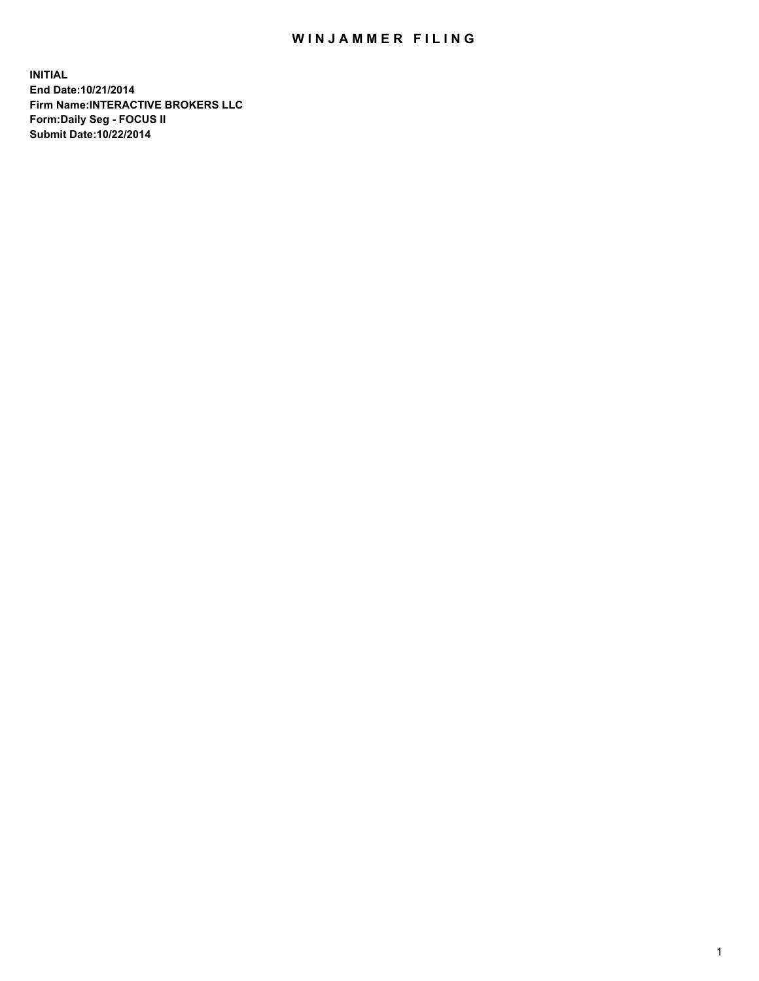## WIN JAMMER FILING

**INITIAL End Date:10/21/2014 Firm Name:INTERACTIVE BROKERS LLC Form:Daily Seg - FOCUS II Submit Date:10/22/2014**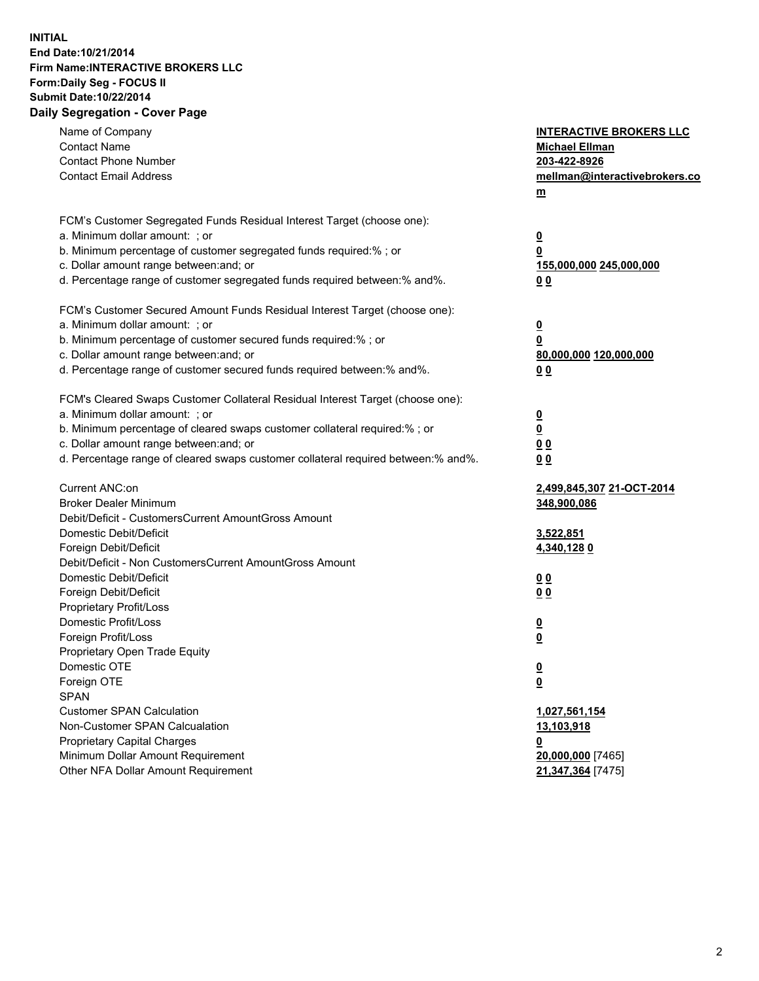## **INITIAL End Date:10/21/2014 Firm Name:INTERACTIVE BROKERS LLC Form:Daily Seg - FOCUS II Submit Date:10/22/2014 Daily Segregation - Cover Page**

| Name of Company<br><b>Contact Name</b><br><b>Contact Phone Number</b><br><b>Contact Email Address</b>                                                                                                                                                                                                                          | <b>INTERACTIVE BROKERS LLC</b><br><b>Michael Ellman</b><br>203-422-8926<br>mellman@interactivebrokers.co<br>m |
|--------------------------------------------------------------------------------------------------------------------------------------------------------------------------------------------------------------------------------------------------------------------------------------------------------------------------------|---------------------------------------------------------------------------------------------------------------|
| FCM's Customer Segregated Funds Residual Interest Target (choose one):<br>a. Minimum dollar amount: ; or<br>b. Minimum percentage of customer segregated funds required:% ; or<br>c. Dollar amount range between: and; or<br>d. Percentage range of customer segregated funds required between:% and%.                         | <u>0</u><br>0<br>155,000,000 245,000,000<br>00                                                                |
| FCM's Customer Secured Amount Funds Residual Interest Target (choose one):<br>a. Minimum dollar amount: ; or<br>b. Minimum percentage of customer secured funds required:% ; or<br>c. Dollar amount range between: and; or<br>d. Percentage range of customer secured funds required between:% and%.                           | <u>0</u><br>0<br>80,000,000 120,000,000<br>0 <sub>0</sub>                                                     |
| FCM's Cleared Swaps Customer Collateral Residual Interest Target (choose one):<br>a. Minimum dollar amount: ; or<br>b. Minimum percentage of cleared swaps customer collateral required:% ; or<br>c. Dollar amount range between: and; or<br>d. Percentage range of cleared swaps customer collateral required between:% and%. | $\overline{\mathbf{0}}$<br><u>0</u><br>0 <sub>0</sub><br>0 <sub>0</sub>                                       |
| Current ANC:on<br><b>Broker Dealer Minimum</b><br>Debit/Deficit - CustomersCurrent AmountGross Amount<br>Domestic Debit/Deficit<br>Foreign Debit/Deficit                                                                                                                                                                       | 2,499,845,307 21-OCT-2014<br>348,900,086<br>3,522,851<br>4,340,1280                                           |
| Debit/Deficit - Non CustomersCurrent AmountGross Amount<br>Domestic Debit/Deficit<br>Foreign Debit/Deficit<br>Proprietary Profit/Loss<br>Domestic Profit/Loss                                                                                                                                                                  | 0 <sub>0</sub><br>0 <sub>0</sub><br>$\overline{\mathbf{0}}$                                                   |
| Foreign Profit/Loss<br>Proprietary Open Trade Equity<br>Domestic OTE<br>Foreign OTE<br><b>SPAN</b><br><b>Customer SPAN Calculation</b>                                                                                                                                                                                         | $\overline{\mathbf{0}}$<br>$\overline{\mathbf{0}}$<br><u>0</u><br>1,027,561,154                               |
| Non-Customer SPAN Calcualation<br><b>Proprietary Capital Charges</b><br>Minimum Dollar Amount Requirement<br>Other NFA Dollar Amount Requirement                                                                                                                                                                               | 13,103,918<br><u>0</u><br>20,000,000 [7465]<br>21,347,364 [7475]                                              |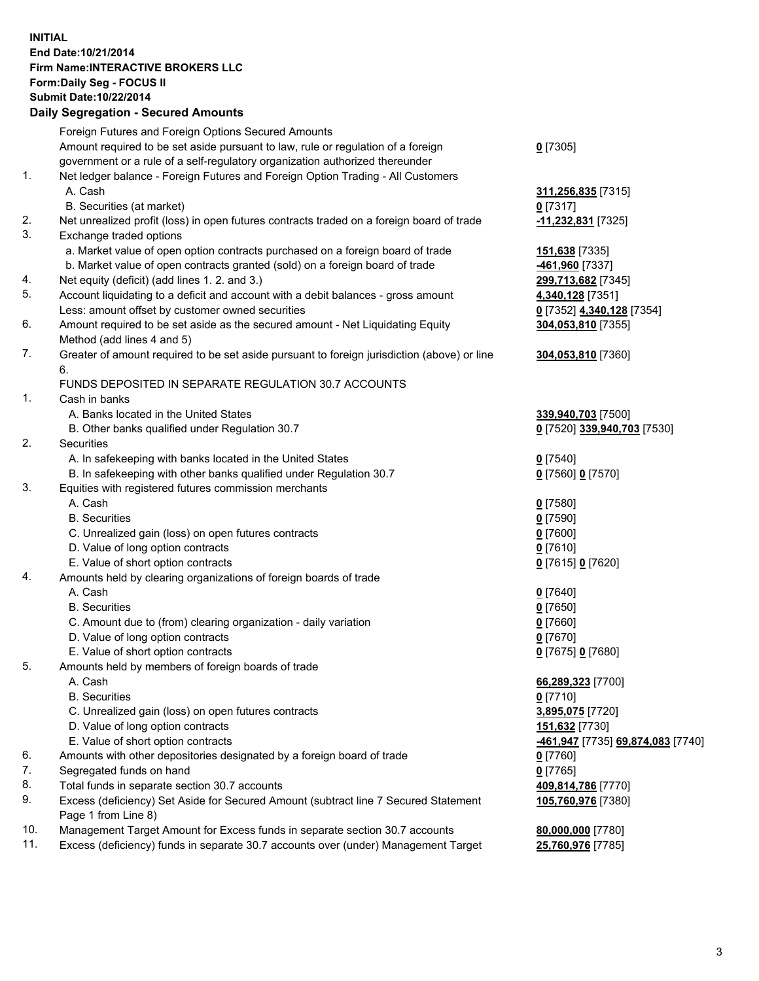## **INITIAL End Date:10/21/2014 Firm Name:INTERACTIVE BROKERS LLC Form:Daily Seg - FOCUS II Submit Date:10/22/2014 Daily Segregation - Secured Amounts**

| Dany Ocgregation - Oceanea Annoanta                                                         |                                                       |
|---------------------------------------------------------------------------------------------|-------------------------------------------------------|
| Foreign Futures and Foreign Options Secured Amounts                                         |                                                       |
| Amount required to be set aside pursuant to law, rule or regulation of a foreign            | $0$ [7305]                                            |
| government or a rule of a self-regulatory organization authorized thereunder                |                                                       |
| Net ledger balance - Foreign Futures and Foreign Option Trading - All Customers             |                                                       |
| A. Cash                                                                                     | 311,256,835 [7315]                                    |
| B. Securities (at market)                                                                   | $0$ [7317]                                            |
| Net unrealized profit (loss) in open futures contracts traded on a foreign board of trade   | -11,232,831 [7325]                                    |
| Exchange traded options                                                                     |                                                       |
| a. Market value of open option contracts purchased on a foreign board of trade              | 151,638 [7335]                                        |
| b. Market value of open contracts granted (sold) on a foreign board of trade                | -461,960 [7337]                                       |
| Net equity (deficit) (add lines 1.2. and 3.)                                                | 299,713,682 [7345]                                    |
| Account liquidating to a deficit and account with a debit balances - gross amount           | 4,340,128 [7351]                                      |
| Less: amount offset by customer owned securities                                            | 0 [7352] 4,340,128 [7354]                             |
| Amount required to be set aside as the secured amount - Net Liquidating Equity              | 304,053,810 [7355]                                    |
| Method (add lines 4 and 5)                                                                  |                                                       |
| Greater of amount required to be set aside pursuant to foreign jurisdiction (above) or line | 304,053,810 [7360]                                    |
| 6.                                                                                          |                                                       |
| FUNDS DEPOSITED IN SEPARATE REGULATION 30.7 ACCOUNTS                                        |                                                       |
| Cash in banks                                                                               |                                                       |
| A. Banks located in the United States                                                       | 339,940,703 [7500]                                    |
| B. Other banks qualified under Regulation 30.7                                              | 0 [7520] 339,940,703 [7530]                           |
| Securities                                                                                  |                                                       |
| A. In safekeeping with banks located in the United States                                   | $0$ [7540]                                            |
| B. In safekeeping with other banks qualified under Regulation 30.7                          | 0 [7560] 0 [7570]                                     |
| Equities with registered futures commission merchants                                       |                                                       |
| A. Cash                                                                                     | $0$ [7580]                                            |
| <b>B.</b> Securities                                                                        | $0$ [7590]                                            |
| C. Unrealized gain (loss) on open futures contracts                                         | $0$ [7600]                                            |
| D. Value of long option contracts                                                           | $0$ [7610]                                            |
| E. Value of short option contracts                                                          | 0 [7615] 0 [7620]                                     |
| Amounts held by clearing organizations of foreign boards of trade                           |                                                       |
| A. Cash                                                                                     | $0$ [7640]                                            |
| <b>B.</b> Securities                                                                        | $0$ [7650]                                            |
| C. Amount due to (from) clearing organization - daily variation                             | $0$ [7660]                                            |
| D. Value of long option contracts                                                           | $0$ [7670]                                            |
| E. Value of short option contracts                                                          | 0 [7675] 0 [7680]                                     |
| Amounts held by members of foreign boards of trade                                          |                                                       |
| A. Cash                                                                                     | 66,289,323 [7700]                                     |
| <b>B.</b> Securities                                                                        | $0$ [7710]                                            |
| C. Unrealized gain (loss) on open futures contracts                                         | 3,895,075 [7720]                                      |
| D. Value of long option contracts                                                           | 151,632 [7730]                                        |
| E. Value of short option contracts                                                          | <mark>-461,947</mark> [7735] <b>69,874,083</b> [7740] |
| Amounts with other depositories designated by a foreign board of trade                      | 0 [7760]                                              |
| Segregated funds on hand                                                                    | $0$ [7765]                                            |
| Total funds in separate section 30.7 accounts                                               | 409,814,786 [7770]                                    |
| Excess (deficiency) Set Aside for Secured Amount (subtract line 7 Secured Statement         | 105,760,976 [7380]                                    |
| Page 1 from Line 8)                                                                         |                                                       |
| Management Target Amount for Excess funds in separate section 30.7 accounts                 | 80,000,000 [7780]                                     |
| Excess (deficiency) funds in separate 30.7 accounts over (under) Management Target          | 25,760,976 [7785]                                     |
|                                                                                             |                                                       |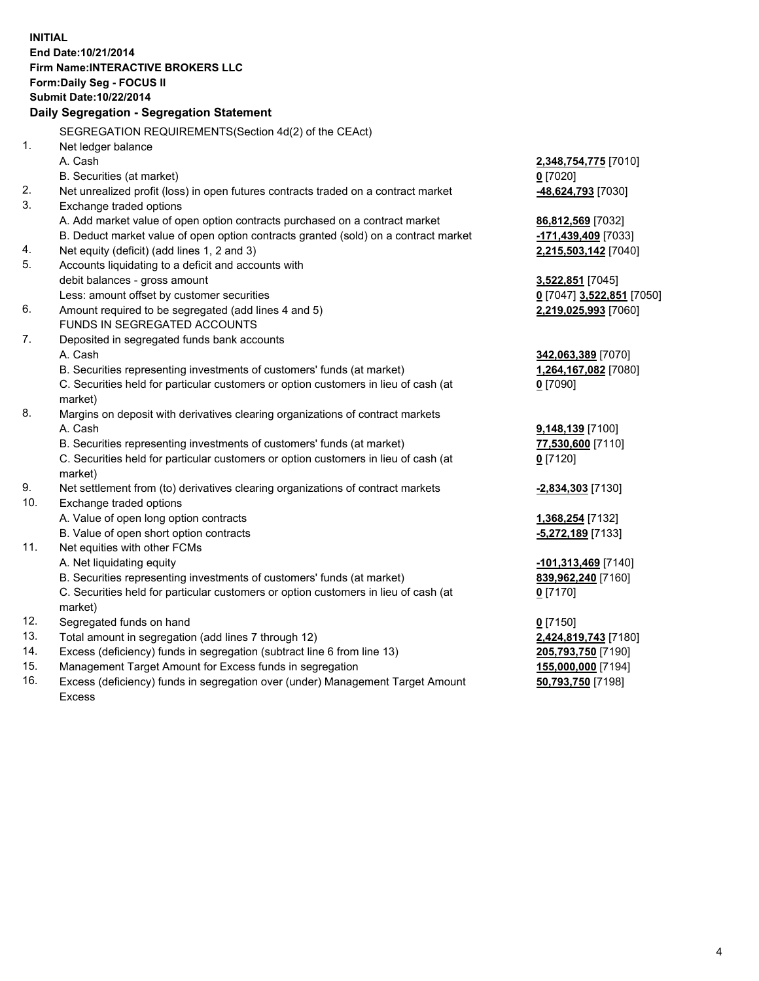**INITIAL End Date:10/21/2014 Firm Name:INTERACTIVE BROKERS LLC Form:Daily Seg - FOCUS II Submit Date:10/22/2014 Daily Segregation - Segregation Statement** SEGREGATION REQUIREMENTS(Section 4d(2) of the CEAct) 1. Net ledger balance A. Cash **2,348,754,775** [7010] B. Securities (at market) **0** [7020] 2. Net unrealized profit (loss) in open futures contracts traded on a contract market **-48,624,793** [7030] 3. Exchange traded options A. Add market value of open option contracts purchased on a contract market **86,812,569** [7032] B. Deduct market value of open option contracts granted (sold) on a contract market **-171,439,409** [7033] 4. Net equity (deficit) (add lines 1, 2 and 3) **2,215,503,142** [7040] 5. Accounts liquidating to a deficit and accounts with debit balances - gross amount **3,522,851** [7045] Less: amount offset by customer securities **0** [7047] **3,522,851** [7050] 6. Amount required to be segregated (add lines 4 and 5) **2,219,025,993** [7060] FUNDS IN SEGREGATED ACCOUNTS 7. Deposited in segregated funds bank accounts A. Cash **342,063,389** [7070] B. Securities representing investments of customers' funds (at market) **1,264,167,082** [7080] C. Securities held for particular customers or option customers in lieu of cash (at market) **0** [7090] 8. Margins on deposit with derivatives clearing organizations of contract markets A. Cash **9,148,139** [7100] B. Securities representing investments of customers' funds (at market) **77,530,600** [7110] C. Securities held for particular customers or option customers in lieu of cash (at market) **0** [7120] 9. Net settlement from (to) derivatives clearing organizations of contract markets **-2,834,303** [7130] 10. Exchange traded options A. Value of open long option contracts **1,368,254** [7132] B. Value of open short option contracts **-5,272,189** [7133] 11. Net equities with other FCMs A. Net liquidating equity **-101,313,469** [7140] B. Securities representing investments of customers' funds (at market) **839,962,240** [7160] C. Securities held for particular customers or option customers in lieu of cash (at market) **0** [7170] 12. Segregated funds on hand **0** [7150] 13. Total amount in segregation (add lines 7 through 12) **2,424,819,743** [7180] 14. Excess (deficiency) funds in segregation (subtract line 6 from line 13) **205,793,750** [7190] 15. Management Target Amount for Excess funds in segregation **155,000,000** [7194]

16. Excess (deficiency) funds in segregation over (under) Management Target Amount Excess

**50,793,750** [7198]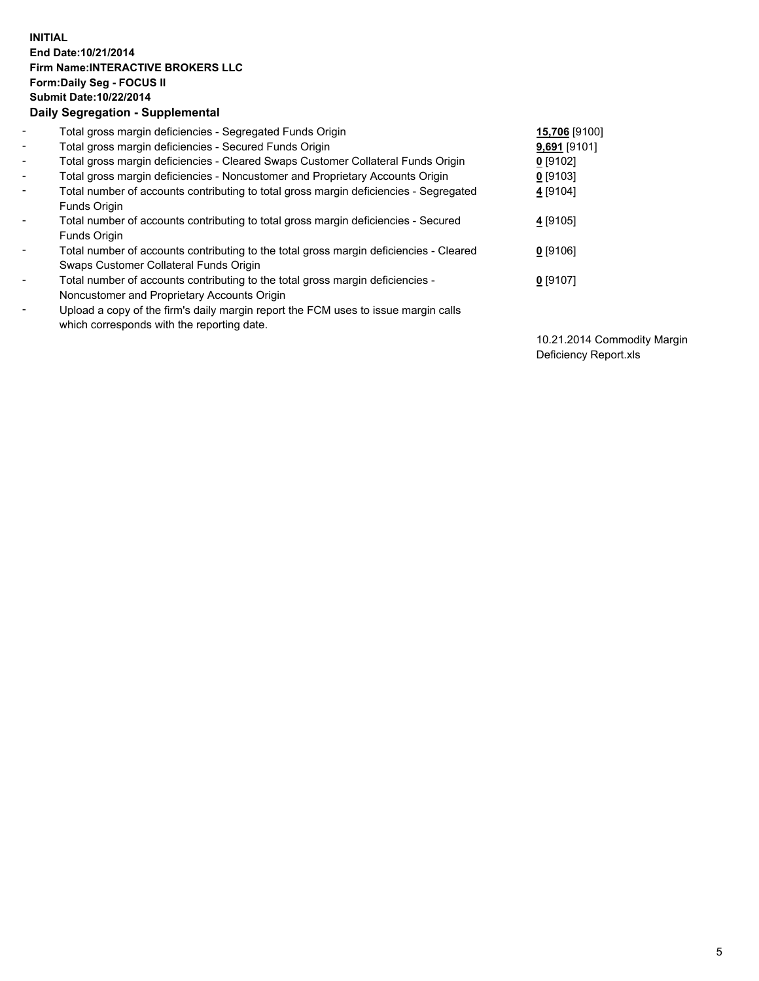## **INITIAL End Date:10/21/2014 Firm Name:INTERACTIVE BROKERS LLC Form:Daily Seg - FOCUS II Submit Date:10/22/2014 Daily Segregation - Supplemental**

| $\blacksquare$           | Total gross margin deficiencies - Segregated Funds Origin                              | 15,706 [9100] |
|--------------------------|----------------------------------------------------------------------------------------|---------------|
| $\blacksquare$           | Total gross margin deficiencies - Secured Funds Origin                                 | 9,691 [9101]  |
| $\blacksquare$           | Total gross margin deficiencies - Cleared Swaps Customer Collateral Funds Origin       | $0$ [9102]    |
| $\blacksquare$           | Total gross margin deficiencies - Noncustomer and Proprietary Accounts Origin          | 0 [9103]      |
| $\blacksquare$           | Total number of accounts contributing to total gross margin deficiencies - Segregated  | 4 [9104]      |
|                          | Funds Origin                                                                           |               |
| $\blacksquare$           | Total number of accounts contributing to total gross margin deficiencies - Secured     | 4 [9105]      |
|                          | <b>Funds Origin</b>                                                                    |               |
| $\blacksquare$           | Total number of accounts contributing to the total gross margin deficiencies - Cleared | $0$ [9106]    |
|                          | Swaps Customer Collateral Funds Origin                                                 |               |
| $\blacksquare$           | Total number of accounts contributing to the total gross margin deficiencies -         | $0$ [9107]    |
|                          | Noncustomer and Proprietary Accounts Origin                                            |               |
| $\overline{\phantom{a}}$ | Upload a copy of the firm's daily margin report the FCM uses to issue margin calls     |               |
|                          | which corresponds with the reporting date.                                             |               |

10.21.2014 Commodity Margin Deficiency Report.xls